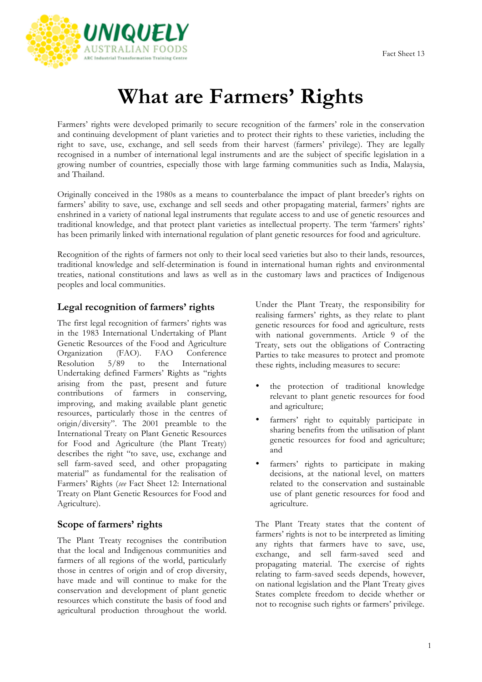

# **What are Farmers' Rights**

Farmers' rights were developed primarily to secure recognition of the farmers' role in the conservation and continuing development of plant varieties and to protect their rights to these varieties, including the right to save, use, exchange, and sell seeds from their harvest (farmers' privilege). They are legally recognised in a number of international legal instruments and are the subject of specific legislation in a growing number of countries, especially those with large farming communities such as India, Malaysia, and Thailand.

Originally conceived in the 1980s as a means to counterbalance the impact of plant breeder's rights on farmers' ability to save, use, exchange and sell seeds and other propagating material, farmers' rights are enshrined in a variety of national legal instruments that regulate access to and use of genetic resources and traditional knowledge, and that protect plant varieties as intellectual property. The term 'farmers' rights' has been primarily linked with international regulation of plant genetic resources for food and agriculture.

Recognition of the rights of farmers not only to their local seed varieties but also to their lands, resources, traditional knowledge and self-determination is found in international human rights and environmental treaties, national constitutions and laws as well as in the customary laws and practices of Indigenous peoples and local communities.

# **Legal recognition of farmers' rights**

The first legal recognition of farmers' rights was in the 1983 International Undertaking of Plant Genetic Resources of the Food and Agriculture<br>Organization (FAO). FAO Conference Organization (FAO). FAO Resolution 5/89 to the International Undertaking defined Farmers' Rights as "rights arising from the past, present and future contributions of farmers in conserving, improving, and making available plant genetic resources, particularly those in the centres of origin/diversity". The 2001 preamble to the International Treaty on Plant Genetic Resources for Food and Agriculture (the Plant Treaty) describes the right "to save, use, exchange and sell farm-saved seed, and other propagating material" as fundamental for the realisation of Farmers' Rights (*see* Fact Sheet 12: International Treaty on Plant Genetic Resources for Food and Agriculture).

#### **Scope of farmers' rights**

The Plant Treaty recognises the contribution that the local and Indigenous communities and farmers of all regions of the world, particularly those in centres of origin and of crop diversity, have made and will continue to make for the conservation and development of plant genetic resources which constitute the basis of food and agricultural production throughout the world.

Under the Plant Treaty, the responsibility for realising farmers' rights, as they relate to plant genetic resources for food and agriculture, rests with national governments. Article 9 of the Treaty, sets out the obligations of Contracting Parties to take measures to protect and promote these rights, including measures to secure:

- the protection of traditional knowledge relevant to plant genetic resources for food and agriculture;
- farmers' right to equitably participate in sharing benefits from the utilisation of plant genetic resources for food and agriculture; and
- farmers' rights to participate in making decisions, at the national level, on matters related to the conservation and sustainable use of plant genetic resources for food and agriculture.

The Plant Treaty states that the content of farmers' rights is not to be interpreted as limiting any rights that farmers have to save, use, exchange, and sell farm-saved seed and propagating material. The exercise of rights relating to farm-saved seeds depends, however, on national legislation and the Plant Treaty gives States complete freedom to decide whether or not to recognise such rights or farmers' privilege.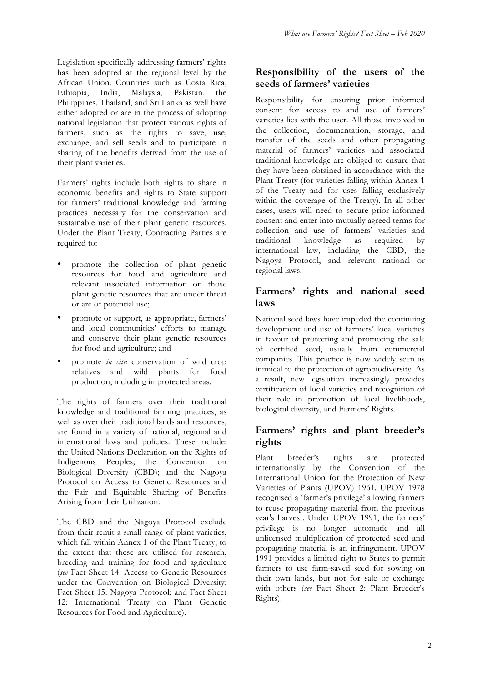Legislation specifically addressing farmers' rights has been adopted at the regional level by the African Union. Countries such as Costa Rica, Ethiopia, India, Malaysia, Pakistan, the Philippines, Thailand, and Sri Lanka as well have either adopted or are in the process of adopting national legislation that protect various rights of farmers, such as the rights to save, use, exchange, and sell seeds and to participate in sharing of the benefits derived from the use of their plant varieties.

Farmers' rights include both rights to share in economic benefits and rights to State support for farmers' traditional knowledge and farming practices necessary for the conservation and sustainable use of their plant genetic resources. Under the Plant Treaty, Contracting Parties are required to:

- promote the collection of plant genetic resources for food and agriculture and relevant associated information on those plant genetic resources that are under threat or are of potential use;
- promote or support, as appropriate, farmers' and local communities' efforts to manage and conserve their plant genetic resources for food and agriculture; and
- promote *in situ* conservation of wild crop relatives and wild plants for food production, including in protected areas.

The rights of farmers over their traditional knowledge and traditional farming practices, as well as over their traditional lands and resources, are found in a variety of national, regional and international laws and policies. These include: the United Nations Declaration on the Rights of Indigenous Peoples; the Convention on Biological Diversity (CBD); and the Nagoya Protocol on Access to Genetic Resources and the Fair and Equitable Sharing of Benefits Arising from their Utilization.

The CBD and the Nagoya Protocol exclude from their remit a small range of plant varieties, which fall within Annex 1 of the Plant Treaty, to the extent that these are utilised for research, breeding and training for food and agriculture (*see* Fact Sheet 14: Access to Genetic Resources under the Convention on Biological Diversity; Fact Sheet 15: Nagoya Protocol; and Fact Sheet 12: International Treaty on Plant Genetic Resources for Food and Agriculture).

# **Responsibility of the users of the seeds of farmers' varieties**

Responsibility for ensuring prior informed consent for access to and use of farmers' varieties lies with the user. All those involved in the collection, documentation, storage, and transfer of the seeds and other propagating material of farmers' varieties and associated traditional knowledge are obliged to ensure that they have been obtained in accordance with the Plant Treaty (for varieties falling within Annex 1 of the Treaty and for uses falling exclusively within the coverage of the Treaty). In all other cases, users will need to secure prior informed consent and enter into mutually agreed terms for collection and use of farmers' varieties and traditional knowledge as required by international law, including the CBD, the Nagoya Protocol, and relevant national or regional laws.

# **Farmers' rights and national seed laws**

National seed laws have impeded the continuing development and use of farmers' local varieties in favour of protecting and promoting the sale of certified seed, usually from commercial companies. This practice is now widely seen as inimical to the protection of agrobiodiversity. As a result, new legislation increasingly provides certification of local varieties and recognition of their role in promotion of local livelihoods, biological diversity, and Farmers' Rights.

# **Farmers' rights and plant breeder's rights**

Plant breeder's rights are protected internationally by the Convention of the International Union for the Protection of New Varieties of Plants (UPOV) 1961. UPOV 1978 recognised a 'farmer's privilege' allowing farmers to reuse propagating material from the previous year's harvest. Under UPOV 1991, the farmers' privilege is no longer automatic and all unlicensed multiplication of protected seed and propagating material is an infringement. UPOV 1991 provides a limited right to States to permit farmers to use farm-saved seed for sowing on their own lands, but not for sale or exchange with others (*see* Fact Sheet 2: Plant Breeder's Rights).